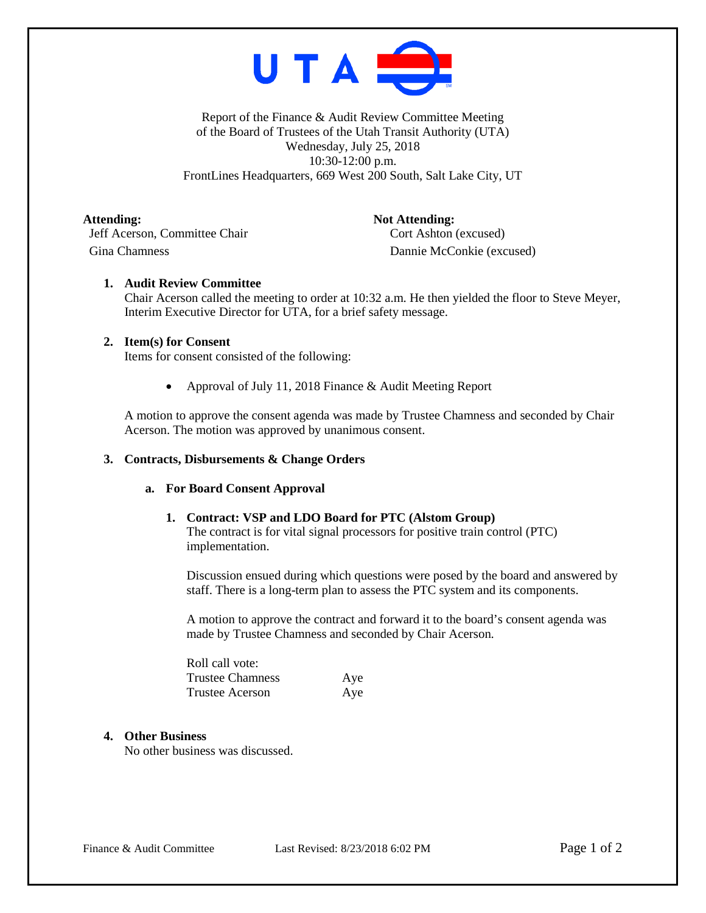

Report of the Finance & Audit Review Committee Meeting of the Board of Trustees of the Utah Transit Authority (UTA) Wednesday, July 25, 2018 10:30-12:00 p.m. FrontLines Headquarters, 669 West 200 South, Salt Lake City, UT

Attending: Not Attending: Jeff Acerson, Committee Chair Cort Ashton (excused) Gina Chamness Dannie McConkie (excused)

# **1. Audit Review Committee**

Chair Acerson called the meeting to order at 10:32 a.m. He then yielded the floor to Steve Meyer, Interim Executive Director for UTA, for a brief safety message.

## **2. Item(s) for Consent**

Items for consent consisted of the following:

• Approval of July 11, 2018 Finance & Audit Meeting Report

A motion to approve the consent agenda was made by Trustee Chamness and seconded by Chair Acerson. The motion was approved by unanimous consent.

## **3. Contracts, Disbursements & Change Orders**

## **a. For Board Consent Approval**

## **1. Contract: VSP and LDO Board for PTC (Alstom Group)**

The contract is for vital signal processors for positive train control (PTC) implementation.

Discussion ensued during which questions were posed by the board and answered by staff. There is a long-term plan to assess the PTC system and its components.

A motion to approve the contract and forward it to the board's consent agenda was made by Trustee Chamness and seconded by Chair Acerson.

| Roll call vote:        |     |
|------------------------|-----|
| Trustee Chamness       | Aye |
| <b>Trustee Acerson</b> | Aye |

## **4. Other Business**

No other business was discussed.